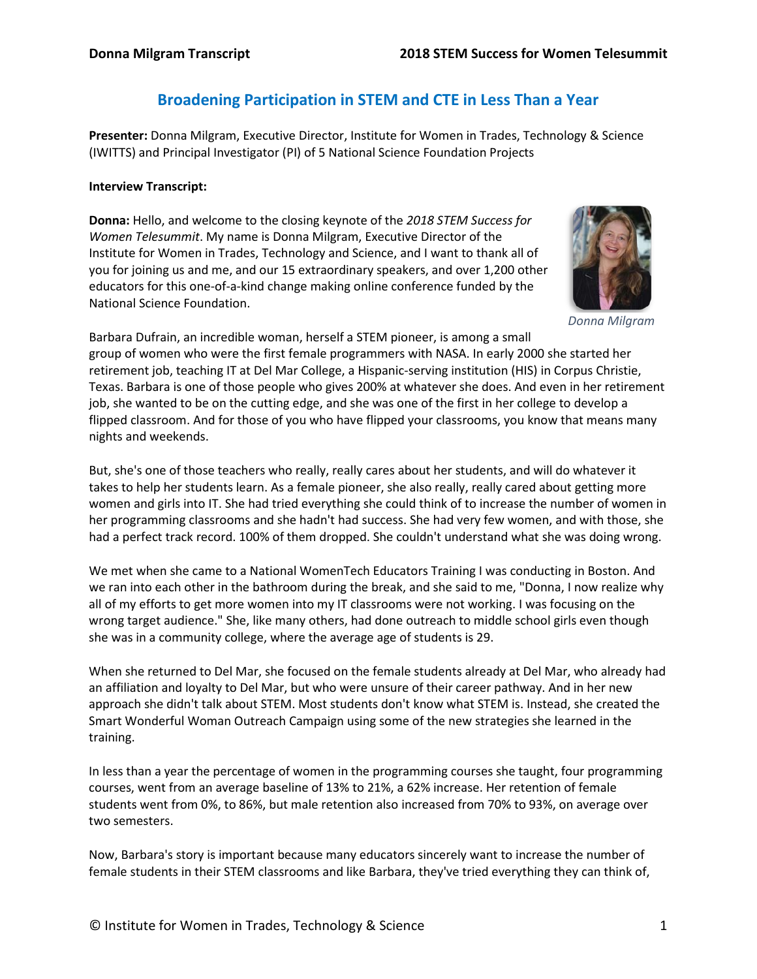# **Broadening Participation in STEM and CTE in Less Than a Year**

**Presenter:** Donna Milgram, Executive Director, Institute for Women in Trades, Technology & Science (IWITTS) and Principal Investigator (PI) of 5 National Science Foundation Projects

### **Interview Transcript:**

**Donna:** Hello, and welcome to the closing keynote of the *2018 STEM Success for Women Telesummit*. My name is Donna Milgram, Executive Director of the Institute for Women in Trades, Technology and Science, and I want to thank all of you for joining us and me, and our 15 extraordinary speakers, and over 1,200 other educators for this one-of-a-kind change making online conference funded by the National Science Foundation.



*Donna Milgram*

Barbara Dufrain, an incredible woman, herself a STEM pioneer, is among a small group of women who were the first female programmers with NASA. In early 2000 she started her retirement job, teaching IT at Del Mar College, a Hispanic-serving institution (HIS) in Corpus Christie, Texas. Barbara is one of those people who gives 200% at whatever she does. And even in her retirement job, she wanted to be on the cutting edge, and she was one of the first in her college to develop a flipped classroom. And for those of you who have flipped your classrooms, you know that means many nights and weekends.

But, she's one of those teachers who really, really cares about her students, and will do whatever it takes to help her students learn. As a female pioneer, she also really, really cared about getting more women and girls into IT. She had tried everything she could think of to increase the number of women in her programming classrooms and she hadn't had success. She had very few women, and with those, she had a perfect track record. 100% of them dropped. She couldn't understand what she was doing wrong.

We met when she came to a National WomenTech Educators Training I was conducting in Boston. And we ran into each other in the bathroom during the break, and she said to me, "Donna, I now realize why all of my efforts to get more women into my IT classrooms were not working. I was focusing on the wrong target audience." She, like many others, had done outreach to middle school girls even though she was in a community college, where the average age of students is 29.

When she returned to Del Mar, she focused on the female students already at Del Mar, who already had an affiliation and loyalty to Del Mar, but who were unsure of their career pathway. And in her new approach she didn't talk about STEM. Most students don't know what STEM is. Instead, she created the Smart Wonderful Woman Outreach Campaign using some of the new strategies she learned in the training.

In less than a year the percentage of women in the programming courses she taught, four programming courses, went from an average baseline of 13% to 21%, a 62% increase. Her retention of female students went from 0%, to 86%, but male retention also increased from 70% to 93%, on average over two semesters.

Now, Barbara's story is important because many educators sincerely want to increase the number of female students in their STEM classrooms and like Barbara, they've tried everything they can think of,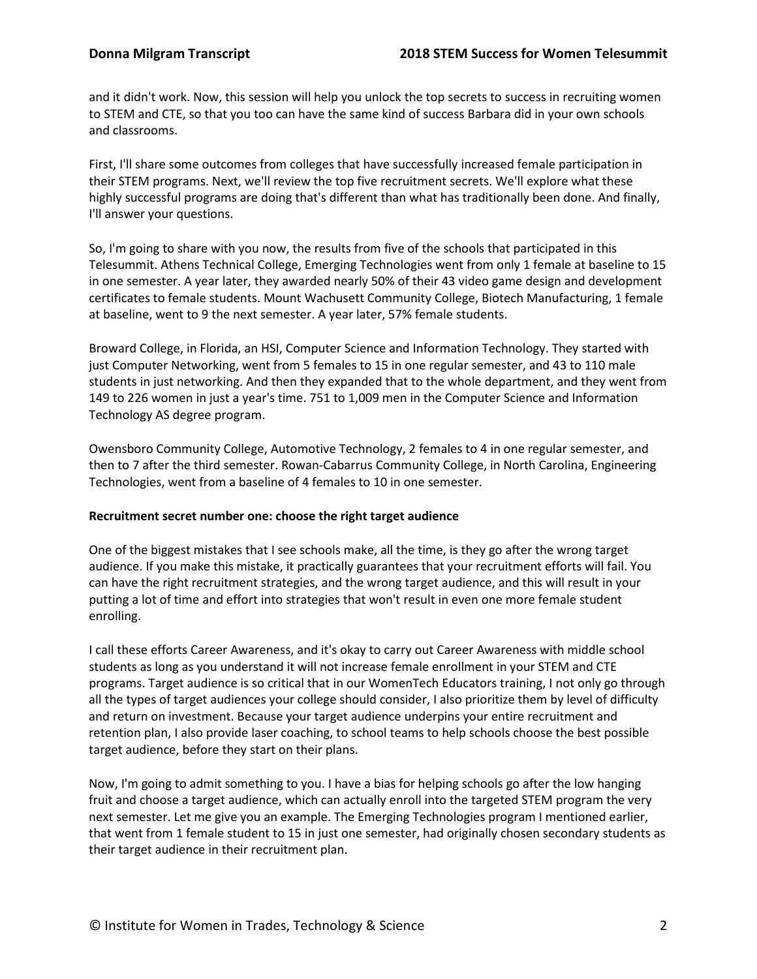and it didn't work. Now, this session will help you unlock the top secrets to success in recruiting women to STEM and CTE, so that you too can have the same kind of success Barbara did in your own schools and classrooms.

First, I'll share some outcomes from colleges that have successfully increased female participation in their STEM programs. Next, we'll review the top five recruitment secrets. We'll explore what these highly successful programs are doing that's different than what has traditionally been done. And finally, I'll answer your questions.

So, I'm going to share with you now, the results from five of the schools that participated in this Telesummit. Athens Technical College, Emerging Technologies went from only 1 female at baseline to 15 in one semester. A year later, they awarded nearly 50% of their 43 video game design and development certificates to female students. Mount Wachusett Community College, Biotech Manufacturing, 1 female at baseline, went to 9 the next semester. A year later, 57% female students.

Broward College, in Florida, an HSI, Computer Science and Information Technology. They started with just Computer Networking, went from 5 females to 15 in one regular semester, and 43 to 110 male students in just networking. And then they expanded that to the whole department, and they went from 149 to 226 women in just a year's time. 751 to 1,009 men in the Computer Science and Information Technology AS degree program.

Owensboro Community College, Automotive Technology, 2 females to 4 in one regular semester, and then to 7 after the third semester. Rowan-Cabarrus Community College, in North Carolina, Engineering Technologies, went from a baseline of 4 females to 10 in one semester.

# **Recruitment secret number one: choose the right target audience**

One of the biggest mistakes that I see schools make, all the time, is they go after the wrong target audience. If you make this mistake, it practically guarantees that your recruitment efforts will fail. You can have the right recruitment strategies, and the wrong target audience, and this will result in your putting a lot of time and effort into strategies that won't result in even one more female student enrolling.

I call these efforts Career Awareness, and it's okay to carry out Career Awareness with middle school students as long as you understand it will not increase female enrollment in your STEM and CTE programs. Target audience is so critical that in our WomenTech Educators training, I not only go through all the types of target audiences your college should consider, I also prioritize them by level of difficulty and return on investment. Because your target audience underpins your entire recruitment and retention plan, I also provide laser coaching, to school teams to help schools choose the best possible target audience, before they start on their plans.

Now, I'm going to admit something to you. I have a bias for helping schools go after the low hanging fruit and choose a target audience, which can actually enroll into the targeted STEM program the very next semester. Let me give you an example. The Emerging Technologies program I mentioned earlier, that went from 1 female student to 15 in just one semester, had originally chosen secondary students as their target audience in their recruitment plan.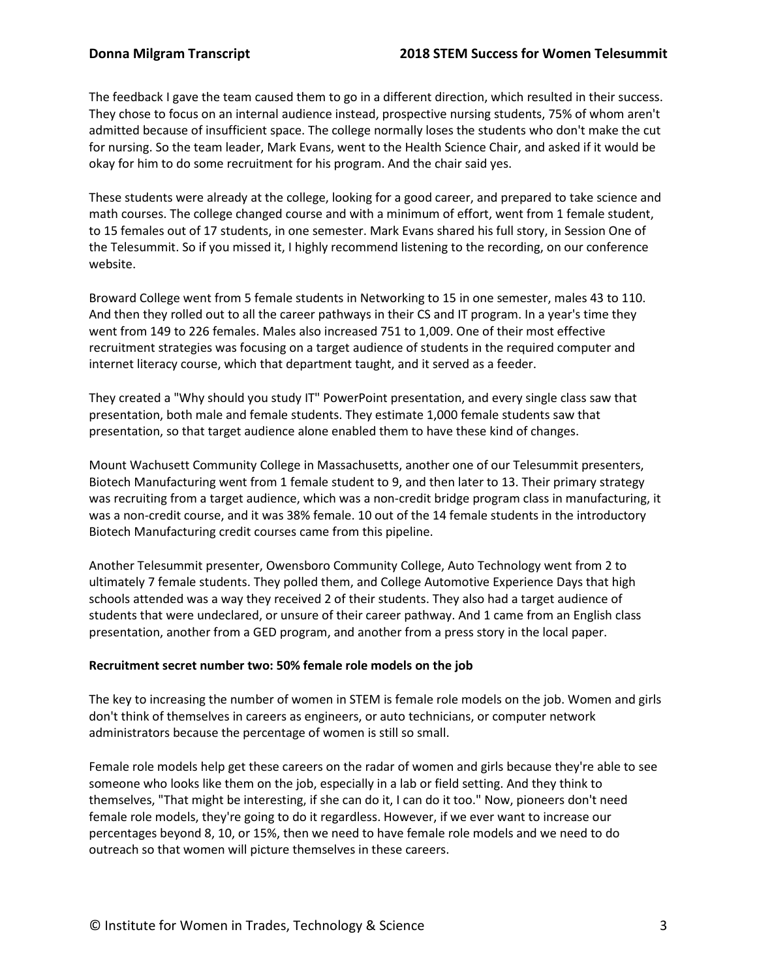The feedback I gave the team caused them to go in a different direction, which resulted in their success. They chose to focus on an internal audience instead, prospective nursing students, 75% of whom aren't admitted because of insufficient space. The college normally loses the students who don't make the cut for nursing. So the team leader, Mark Evans, went to the Health Science Chair, and asked if it would be okay for him to do some recruitment for his program. And the chair said yes.

These students were already at the college, looking for a good career, and prepared to take science and math courses. The college changed course and with a minimum of effort, went from 1 female student, to 15 females out of 17 students, in one semester. Mark Evans shared his full story, in Session One of the Telesummit. So if you missed it, I highly recommend listening to the recording, on our conference website.

Broward College went from 5 female students in Networking to 15 in one semester, males 43 to 110. And then they rolled out to all the career pathways in their CS and IT program. In a year's time they went from 149 to 226 females. Males also increased 751 to 1,009. One of their most effective recruitment strategies was focusing on a target audience of students in the required computer and internet literacy course, which that department taught, and it served as a feeder.

They created a "Why should you study IT" PowerPoint presentation, and every single class saw that presentation, both male and female students. They estimate 1,000 female students saw that presentation, so that target audience alone enabled them to have these kind of changes.

Mount Wachusett Community College in Massachusetts, another one of our Telesummit presenters, Biotech Manufacturing went from 1 female student to 9, and then later to 13. Their primary strategy was recruiting from a target audience, which was a non-credit bridge program class in manufacturing, it was a non-credit course, and it was 38% female. 10 out of the 14 female students in the introductory Biotech Manufacturing credit courses came from this pipeline.

Another Telesummit presenter, Owensboro Community College, Auto Technology went from 2 to ultimately 7 female students. They polled them, and College Automotive Experience Days that high schools attended was a way they received 2 of their students. They also had a target audience of students that were undeclared, or unsure of their career pathway. And 1 came from an English class presentation, another from a GED program, and another from a press story in the local paper.

# **Recruitment secret number two: 50% female role models on the job**

The key to increasing the number of women in STEM is female role models on the job. Women and girls don't think of themselves in careers as engineers, or auto technicians, or computer network administrators because the percentage of women is still so small.

Female role models help get these careers on the radar of women and girls because they're able to see someone who looks like them on the job, especially in a lab or field setting. And they think to themselves, "That might be interesting, if she can do it, I can do it too." Now, pioneers don't need female role models, they're going to do it regardless. However, if we ever want to increase our percentages beyond 8, 10, or 15%, then we need to have female role models and we need to do outreach so that women will picture themselves in these careers.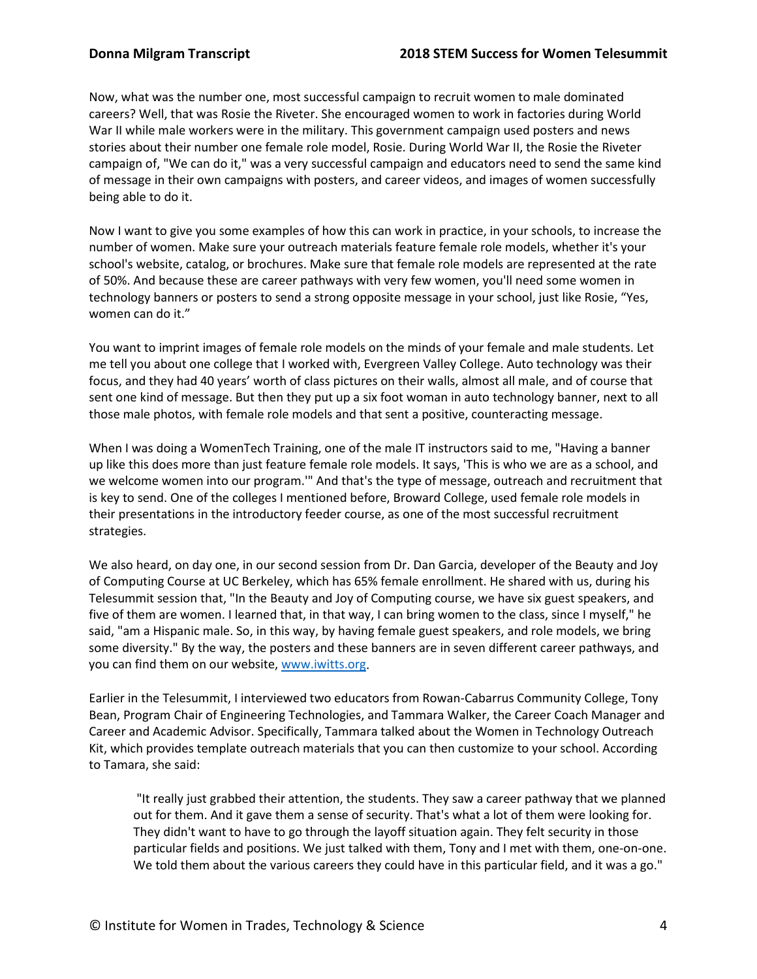Now, what was the number one, most successful campaign to recruit women to male dominated careers? Well, that was Rosie the Riveter. She encouraged women to work in factories during World War II while male workers were in the military. This government campaign used posters and news stories about their number one female role model, Rosie. During World War II, the Rosie the Riveter campaign of, "We can do it," was a very successful campaign and educators need to send the same kind of message in their own campaigns with posters, and career videos, and images of women successfully being able to do it.

Now I want to give you some examples of how this can work in practice, in your schools, to increase the number of women. Make sure your outreach materials feature female role models, whether it's your school's website, catalog, or brochures. Make sure that female role models are represented at the rate of 50%. And because these are career pathways with very few women, you'll need some women in technology banners or posters to send a strong opposite message in your school, just like Rosie, "Yes, women can do it."

You want to imprint images of female role models on the minds of your female and male students. Let me tell you about one college that I worked with, Evergreen Valley College. Auto technology was their focus, and they had 40 years' worth of class pictures on their walls, almost all male, and of course that sent one kind of message. But then they put up a six foot woman in auto technology banner, next to all those male photos, with female role models and that sent a positive, counteracting message.

When I was doing a WomenTech Training, one of the male IT instructors said to me, "Having a banner up like this does more than just feature female role models. It says, 'This is who we are as a school, and we welcome women into our program.'" And that's the type of message, outreach and recruitment that is key to send. One of the colleges I mentioned before, Broward College, used female role models in their presentations in the introductory feeder course, as one of the most successful recruitment strategies.

We also heard, on day one, in our second session from Dr. Dan Garcia, developer of the Beauty and Joy of Computing Course at UC Berkeley, which has 65% female enrollment. He shared with us, during his Telesummit session that, "In the Beauty and Joy of Computing course, we have six guest speakers, and five of them are women. I learned that, in that way, I can bring women to the class, since I myself," he said, "am a Hispanic male. So, in this way, by having female guest speakers, and role models, we bring some diversity." By the way, the posters and these banners are in seven different career pathways, and you can find them on our website, www.iwitts.org.

Earlier in the Telesummit, I interviewed two educators from Rowan-Cabarrus Community College, Tony Bean, Program Chair of Engineering Technologies, and Tammara Walker, the Career Coach Manager and Career and Academic Advisor. Specifically, Tammara talked about the Women in Technology Outreach Kit, which provides template outreach materials that you can then customize to your school. According to Tamara, she said:

"It really just grabbed their attention, the students. They saw a career pathway that we planned out for them. And it gave them a sense of security. That's what a lot of them were looking for. They didn't want to have to go through the layoff situation again. They felt security in those particular fields and positions. We just talked with them, Tony and I met with them, one-on-one. We told them about the various careers they could have in this particular field, and it was a go."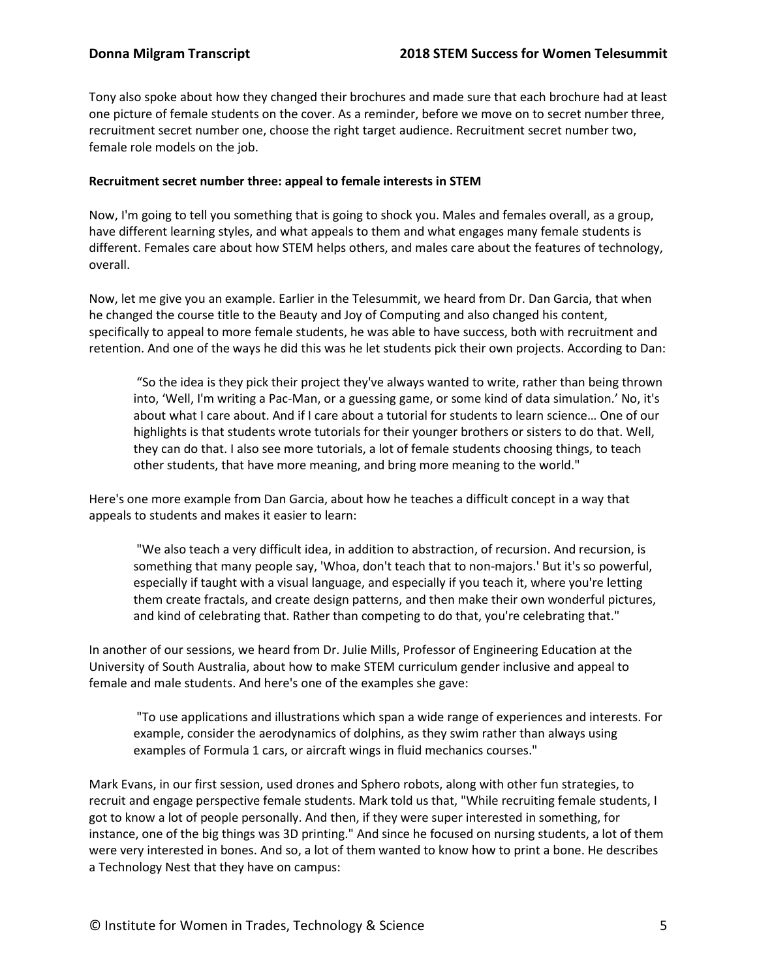Tony also spoke about how they changed their brochures and made sure that each brochure had at least one picture of female students on the cover. As a reminder, before we move on to secret number three, recruitment secret number one, choose the right target audience. Recruitment secret number two, female role models on the job.

# **Recruitment secret number three: appeal to female interests in STEM**

Now, I'm going to tell you something that is going to shock you. Males and females overall, as a group, have different learning styles, and what appeals to them and what engages many female students is different. Females care about how STEM helps others, and males care about the features of technology, overall.

Now, let me give you an example. Earlier in the Telesummit, we heard from Dr. Dan Garcia, that when he changed the course title to the Beauty and Joy of Computing and also changed his content, specifically to appeal to more female students, he was able to have success, both with recruitment and retention. And one of the ways he did this was he let students pick their own projects. According to Dan:

"So the idea is they pick their project they've always wanted to write, rather than being thrown into, 'Well, I'm writing a Pac-Man, or a guessing game, or some kind of data simulation.' No, it's about what I care about. And if I care about a tutorial for students to learn science… One of our highlights is that students wrote tutorials for their younger brothers or sisters to do that. Well, they can do that. I also see more tutorials, a lot of female students choosing things, to teach other students, that have more meaning, and bring more meaning to the world."

Here's one more example from Dan Garcia, about how he teaches a difficult concept in a way that appeals to students and makes it easier to learn:

"We also teach a very difficult idea, in addition to abstraction, of recursion. And recursion, is something that many people say, 'Whoa, don't teach that to non-majors.' But it's so powerful, especially if taught with a visual language, and especially if you teach it, where you're letting them create fractals, and create design patterns, and then make their own wonderful pictures, and kind of celebrating that. Rather than competing to do that, you're celebrating that."

In another of our sessions, we heard from Dr. Julie Mills, Professor of Engineering Education at the University of South Australia, about how to make STEM curriculum gender inclusive and appeal to female and male students. And here's one of the examples she gave:

"To use applications and illustrations which span a wide range of experiences and interests. For example, consider the aerodynamics of dolphins, as they swim rather than always using examples of Formula 1 cars, or aircraft wings in fluid mechanics courses."

Mark Evans, in our first session, used drones and Sphero robots, along with other fun strategies, to recruit and engage perspective female students. Mark told us that, "While recruiting female students, I got to know a lot of people personally. And then, if they were super interested in something, for instance, one of the big things was 3D printing." And since he focused on nursing students, a lot of them were very interested in bones. And so, a lot of them wanted to know how to print a bone. He describes a Technology Nest that they have on campus: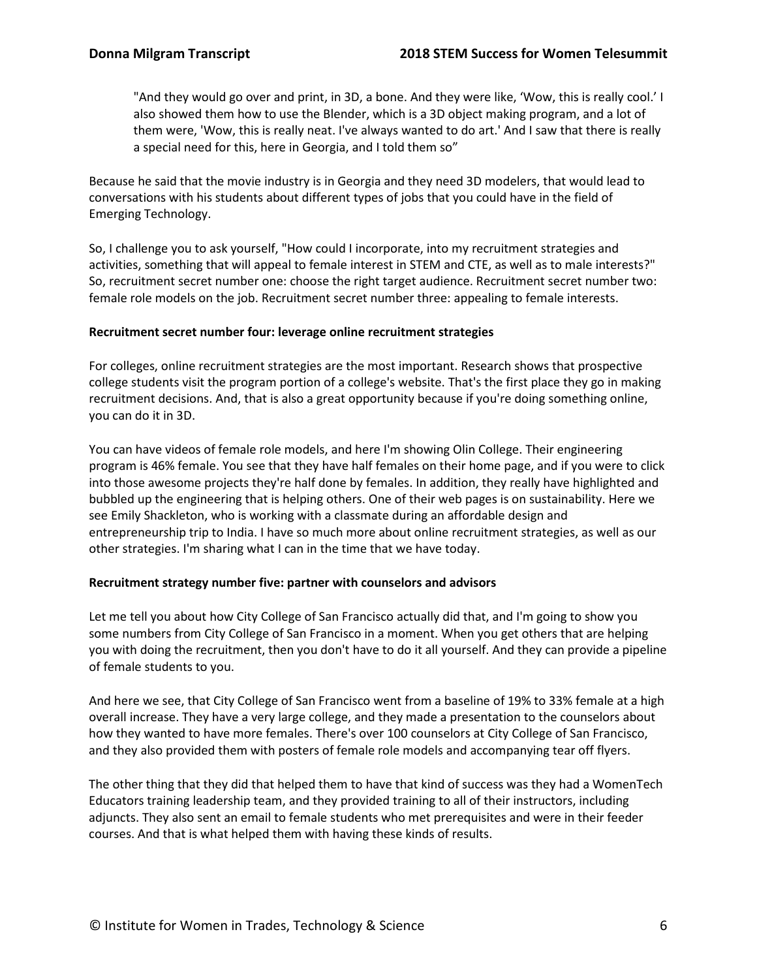"And they would go over and print, in 3D, a bone. And they were like, 'Wow, this is really cool.' I also showed them how to use the Blender, which is a 3D object making program, and a lot of them were, 'Wow, this is really neat. I've always wanted to do art.' And I saw that there is really a special need for this, here in Georgia, and I told them so"

Because he said that the movie industry is in Georgia and they need 3D modelers, that would lead to conversations with his students about different types of jobs that you could have in the field of Emerging Technology.

So, I challenge you to ask yourself, "How could I incorporate, into my recruitment strategies and activities, something that will appeal to female interest in STEM and CTE, as well as to male interests?" So, recruitment secret number one: choose the right target audience. Recruitment secret number two: female role models on the job. Recruitment secret number three: appealing to female interests.

# **Recruitment secret number four: leverage online recruitment strategies**

For colleges, online recruitment strategies are the most important. Research shows that prospective college students visit the program portion of a college's website. That's the first place they go in making recruitment decisions. And, that is also a great opportunity because if you're doing something online, you can do it in 3D.

You can have videos of female role models, and here I'm showing Olin College. Their engineering program is 46% female. You see that they have half females on their home page, and if you were to click into those awesome projects they're half done by females. In addition, they really have highlighted and bubbled up the engineering that is helping others. One of their web pages is on sustainability. Here we see Emily Shackleton, who is working with a classmate during an affordable design and entrepreneurship trip to India. I have so much more about online recruitment strategies, as well as our other strategies. I'm sharing what I can in the time that we have today.

# **Recruitment strategy number five: partner with counselors and advisors**

Let me tell you about how City College of San Francisco actually did that, and I'm going to show you some numbers from City College of San Francisco in a moment. When you get others that are helping you with doing the recruitment, then you don't have to do it all yourself. And they can provide a pipeline of female students to you.

And here we see, that City College of San Francisco went from a baseline of 19% to 33% female at a high overall increase. They have a very large college, and they made a presentation to the counselors about how they wanted to have more females. There's over 100 counselors at City College of San Francisco, and they also provided them with posters of female role models and accompanying tear off flyers.

The other thing that they did that helped them to have that kind of success was they had a WomenTech Educators training leadership team, and they provided training to all of their instructors, including adjuncts. They also sent an email to female students who met prerequisites and were in their feeder courses. And that is what helped them with having these kinds of results.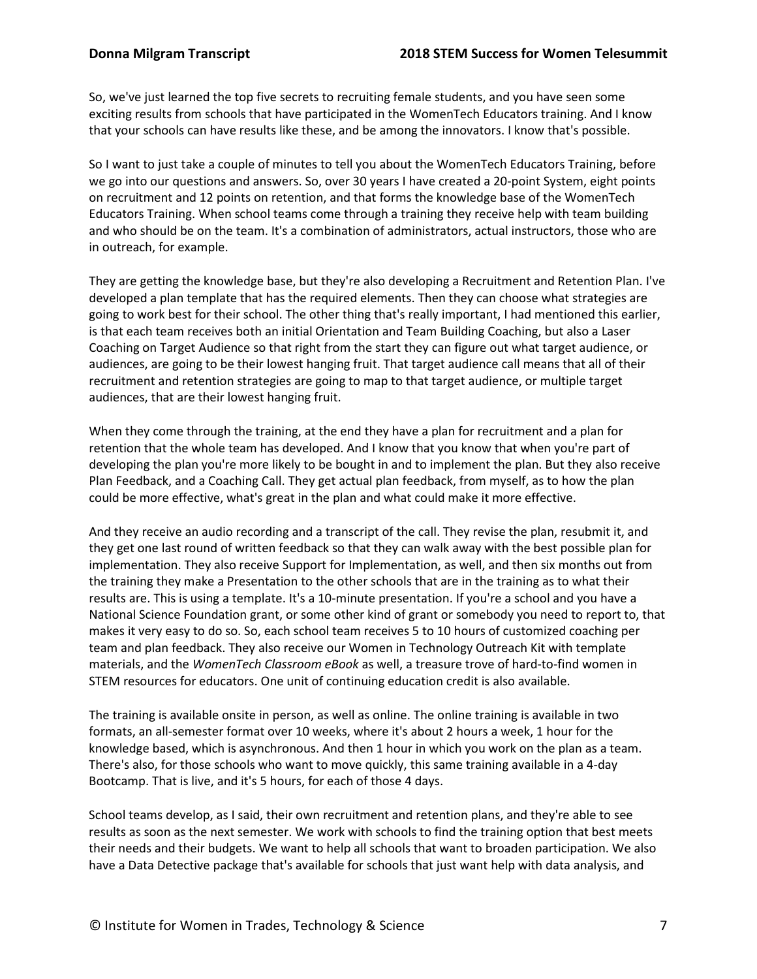So, we've just learned the top five secrets to recruiting female students, and you have seen some exciting results from schools that have participated in the WomenTech Educators training. And I know that your schools can have results like these, and be among the innovators. I know that's possible.

So I want to just take a couple of minutes to tell you about the WomenTech Educators Training, before we go into our questions and answers. So, over 30 years I have created a 20-point System, eight points on recruitment and 12 points on retention, and that forms the knowledge base of the WomenTech Educators Training. When school teams come through a training they receive help with team building and who should be on the team. It's a combination of administrators, actual instructors, those who are in outreach, for example.

They are getting the knowledge base, but they're also developing a Recruitment and Retention Plan. I've developed a plan template that has the required elements. Then they can choose what strategies are going to work best for their school. The other thing that's really important, I had mentioned this earlier, is that each team receives both an initial Orientation and Team Building Coaching, but also a Laser Coaching on Target Audience so that right from the start they can figure out what target audience, or audiences, are going to be their lowest hanging fruit. That target audience call means that all of their recruitment and retention strategies are going to map to that target audience, or multiple target audiences, that are their lowest hanging fruit.

When they come through the training, at the end they have a plan for recruitment and a plan for retention that the whole team has developed. And I know that you know that when you're part of developing the plan you're more likely to be bought in and to implement the plan. But they also receive Plan Feedback, and a Coaching Call. They get actual plan feedback, from myself, as to how the plan could be more effective, what's great in the plan and what could make it more effective.

And they receive an audio recording and a transcript of the call. They revise the plan, resubmit it, and they get one last round of written feedback so that they can walk away with the best possible plan for implementation. They also receive Support for Implementation, as well, and then six months out from the training they make a Presentation to the other schools that are in the training as to what their results are. This is using a template. It's a 10-minute presentation. If you're a school and you have a National Science Foundation grant, or some other kind of grant or somebody you need to report to, that makes it very easy to do so. So, each school team receives 5 to 10 hours of customized coaching per team and plan feedback. They also receive our Women in Technology Outreach Kit with template materials, and the *WomenTech Classroom eBook* as well, a treasure trove of hard-to-find women in STEM resources for educators. One unit of continuing education credit is also available.

The training is available onsite in person, as well as online. The online training is available in two formats, an all-semester format over 10 weeks, where it's about 2 hours a week, 1 hour for the knowledge based, which is asynchronous. And then 1 hour in which you work on the plan as a team. There's also, for those schools who want to move quickly, this same training available in a 4-day Bootcamp. That is live, and it's 5 hours, for each of those 4 days.

School teams develop, as I said, their own recruitment and retention plans, and they're able to see results as soon as the next semester. We work with schools to find the training option that best meets their needs and their budgets. We want to help all schools that want to broaden participation. We also have a Data Detective package that's available for schools that just want help with data analysis, and